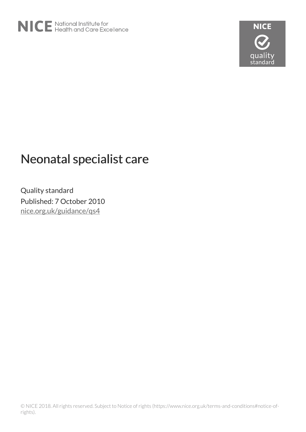

# Neonatal specialist care

Quality standard Published: 7 October 2010 [nice.org.uk/guidance/qs4](http://nice.org.uk/guidance/qs4)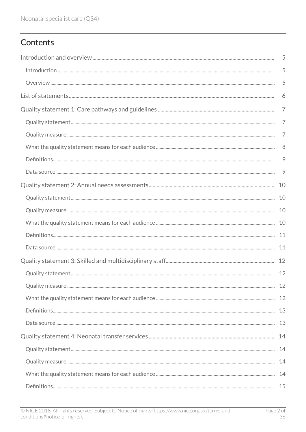# Contents

| 5              |
|----------------|
| 5              |
| 5              |
| 6              |
| $\overline{7}$ |
| $\overline{7}$ |
| $\overline{7}$ |
| 8              |
| 9              |
| 9              |
| 10             |
|                |
|                |
|                |
|                |
|                |
|                |
|                |
|                |
|                |
|                |
|                |
|                |
|                |
|                |
|                |
|                |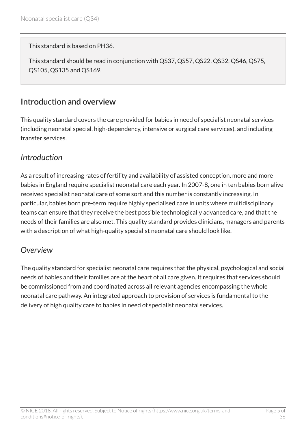This standard is based on PH36.

This standard should be read in conjunction with QS37, QS57, QS22, QS32, QS46, QS75, QS105, QS135 and QS169.

### <span id="page-4-0"></span>Introduction and overview

This quality standard covers the care provided for babies in need of specialist neonatal services (including neonatal special, high-dependency, intensive or surgical care services), and including transfer services.

### <span id="page-4-1"></span>*Introduction*

As a result of increasing rates of fertility and availability of assisted conception, more and more babies in England require specialist neonatal care each year. In 2007-8, one in ten babies born alive received specialist neonatal care of some sort and this number is constantly increasing. In particular, babies born pre-term require highly specialised care in units where multidisciplinary teams can ensure that they receive the best possible technologically advanced care, and that the needs of their families are also met. This quality standard provides clinicians, managers and parents with a description of what high-quality specialist neonatal care should look like.

### <span id="page-4-2"></span>*Overview*

The quality standard for specialist neonatal care requires that the physical, psychological and social needs of babies and their families are at the heart of all care given. It requires that services should be commissioned from and coordinated across all relevant agencies encompassing the whole neonatal care pathway. An integrated approach to provision of services is fundamental to the delivery of high quality care to babies in need of specialist neonatal services.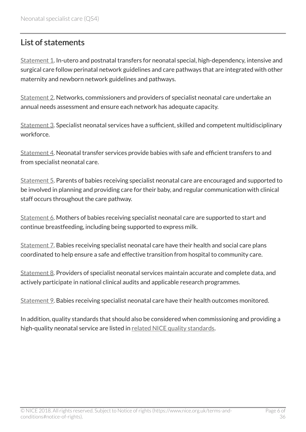# <span id="page-5-0"></span>List of statements

[Statement 1](http://www.nice.org.uk/guidance/qs4/chapter/quality-statement-1-care-pathways-and-guidelines). In-utero and postnatal transfers for neonatal special, high-dependency, intensive and surgical care follow perinatal network guidelines and care pathways that are integrated with other maternity and newborn network guidelines and pathways.

[Statement 2](http://www.nice.org.uk/guidance/qs4/chapter/quality-statement-2-annual-needs-assessments). Networks, commissioners and providers of specialist neonatal care undertake an annual needs assessment and ensure each network has adequate capacity.

[Statement 3](http://www.nice.org.uk/guidance/qs4/chapter/quality-statement-3-skilled-and-multidisciplinary-staff). Specialist neonatal services have a sufficient, skilled and competent multidisciplinary workforce.

[Statement 4](http://www.nice.org.uk/guidance/qs4/chapter/quality-statement-4-neonatal-transfer-services). Neonatal transfer services provide babies with safe and efficient transfers to and from specialist neonatal care.

[Statement 5](http://www.nice.org.uk/guidance/qs4/chapter/quality-statement-5-encouraging-parental-involvement-in-care). Parents of babies receiving specialist neonatal care are encouraged and supported to be involved in planning and providing care for their baby, and regular communication with clinical staff occurs throughout the care pathway.

[Statement 6](http://www.nice.org.uk/guidance/qs4/chapter/quality-statement-6-breastfeeding). Mothers of babies receiving specialist neonatal care are supported to start and continue breastfeeding, including being supported to express milk.

[Statement 7](http://www.nice.org.uk/guidance/qs4/chapter/quality-statement-7-coordinated-transition-to-community-care). Babies receiving specialist neonatal care have their health and social care plans coordinated to help ensure a safe and effective transition from hospital to community care.

[Statement 8](http://www.nice.org.uk/guidance/qs4/chapter/quality-statement-8-data-audit-and-research). Providers of specialist neonatal services maintain accurate and complete data, and actively participate in national clinical audits and applicable research programmes.

[Statement 9](http://www.nice.org.uk/guidance/qs4/chapter/quality-statement-9-health-outcomes). Babies receiving specialist neonatal care have their health outcomes monitored.

In addition, quality standards that should also be considered when commissioning and providing a high-quality neonatal service are listed in [related NICE quality standards.](http://www.nice.org.uk/guidance/qs4/chapter/related-nice-quality-standards)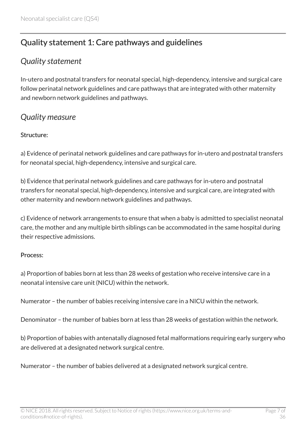# <span id="page-6-0"></span>Quality statement 1: Care pathways and guidelines

### <span id="page-6-1"></span>*Quality statement*

In-utero and postnatal transfers for neonatal special, high-dependency, intensive and surgical care follow perinatal network guidelines and care pathways that are integrated with other maternity and newborn network guidelines and pathways.

### <span id="page-6-2"></span>*Quality measure*

#### Structure:

a) Evidence of perinatal network guidelines and care pathways for in-utero and postnatal transfers for neonatal special, high-dependency, intensive and surgical care.

b) Evidence that perinatal network guidelines and care pathways for in-utero and postnatal transfers for neonatal special, high-dependency, intensive and surgical care, are integrated with other maternity and newborn network guidelines and pathways.

c) Evidence of network arrangements to ensure that when a baby is admitted to specialist neonatal care, the mother and any multiple birth siblings can be accommodated in the same hospital during their respective admissions.

#### Process:

a) Proportion of babies born at less than 28 weeks of gestation who receive intensive care in a neonatal intensive care unit (NICU) within the network.

Numerator – the number of babies receiving intensive care in a NICU within the network.

Denominator – the number of babies born at less than 28 weeks of gestation within the network.

b) Proportion of babies with antenatally diagnosed fetal malformations requiring early surgery who are delivered at a designated network surgical centre.

Numerator – the number of babies delivered at a designated network surgical centre.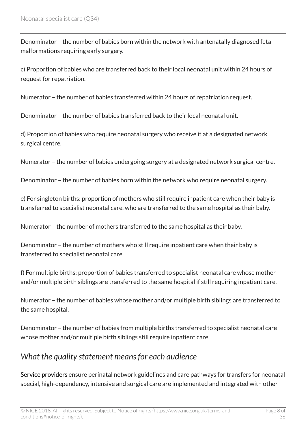Denominator – the number of babies born within the network with antenatally diagnosed fetal malformations requiring early surgery.

c) Proportion of babies who are transferred back to their local neonatal unit within 24 hours of request for repatriation.

Numerator – the number of babies transferred within 24 hours of repatriation request.

Denominator – the number of babies transferred back to their local neonatal unit.

d) Proportion of babies who require neonatal surgery who receive it at a designated network surgical centre.

Numerator – the number of babies undergoing surgery at a designated network surgical centre.

Denominator – the number of babies born within the network who require neonatal surgery.

e) For singleton births: proportion of mothers who still require inpatient care when their baby is transferred to specialist neonatal care, who are transferred to the same hospital as their baby.

Numerator – the number of mothers transferred to the same hospital as their baby.

Denominator – the number of mothers who still require inpatient care when their baby is transferred to specialist neonatal care.

f) For multiple births: proportion of babies transferred to specialist neonatal care whose mother and/or multiple birth siblings are transferred to the same hospital if still requiring inpatient care.

Numerator – the number of babies whose mother and/or multiple birth siblings are transferred to the same hospital.

Denominator – the number of babies from multiple births transferred to specialist neonatal care whose mother and/or multiple birth siblings still require inpatient care.

### <span id="page-7-0"></span>*What the quality statement means for each audience*

Service providers ensure perinatal network guidelines and care pathways for transfers for neonatal special, high-dependency, intensive and surgical care are implemented and integrated with other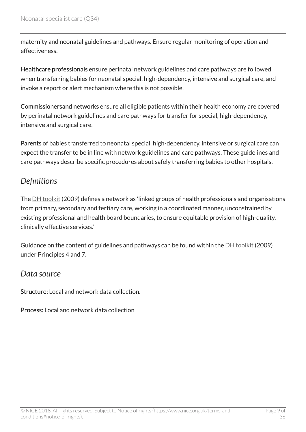maternity and neonatal guidelines and pathways. Ensure regular monitoring of operation and effectiveness.

Healthcare professionals ensure perinatal network guidelines and care pathways are followed when transferring babies for neonatal special, high-dependency, intensive and surgical care, and invoke a report or alert mechanism where this is not possible.

Commissionersand networks ensure all eligible patients within their health economy are covered by perinatal network guidelines and care pathways for transfer for special, high-dependency, intensive and surgical care.

Parents of babies transferred to neonatal special, high-dependency, intensive or surgical care can expect the transfer to be in line with network guidelines and care pathways. These guidelines and care pathways describe specific procedures about safely transferring babies to other hospitals.

## <span id="page-8-0"></span>*Definitions*

The [DH toolkit](http://webarchive.nationalarchives.gov.uk/20130107105354/http:/www.dh.gov.uk/en/Publicationsandstatistics/Publications/PublicationsPolicyAndGuidance/DH_107845) (2009) defines a network as 'linked groups of health professionals and organisations from primary, secondary and tertiary care, working in a coordinated manner, unconstrained by existing professional and health board boundaries, to ensure equitable provision of high-quality, clinically effective services.'

Guidance on the content of guidelines and pathways can be found within the  $DH$  toolkit (2009) under Principles 4 and 7.

#### <span id="page-8-1"></span>*Data source*

Structure: Local and network data collection.

Process: Local and network data collection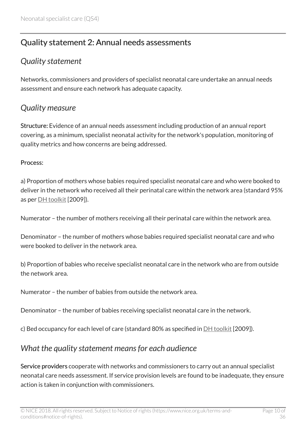# <span id="page-9-0"></span>Quality statement 2: Annual needs assessments

# <span id="page-9-1"></span>*Quality statement*

Networks, commissioners and providers of specialist neonatal care undertake an annual needs assessment and ensure each network has adequate capacity.

### <span id="page-9-2"></span>*Quality measure*

Structure: Evidence of an annual needs assessment including production of an annual report covering, as a minimum, specialist neonatal activity for the network's population, monitoring of quality metrics and how concerns are being addressed.

#### Process:

a) Proportion of mothers whose babies required specialist neonatal care and who were booked to deliver in the network who received all their perinatal care within the network area (standard 95% as per [DH toolkit](http://webarchive.nationalarchives.gov.uk/20130107105354/http:/www.dh.gov.uk/en/Publicationsandstatistics/Publications/PublicationsPolicyAndGuidance/DH_107845) [2009]).

Numerator – the number of mothers receiving all their perinatal care within the network area.

Denominator – the number of mothers whose babies required specialist neonatal care and who were booked to deliver in the network area.

b) Proportion of babies who receive specialist neonatal care in the network who are from outside the network area.

Numerator – the number of babies from outside the network area.

Denominator – the number of babies receiving specialist neonatal care in the network.

c) Bed occupancy for each level of care (standard 80% as specified in [DH toolkit](http://webarchive.nationalarchives.gov.uk/20130107105354/http:/www.dh.gov.uk/en/Publicationsandstatistics/Publications/PublicationsPolicyAndGuidance/DH_107845) [2009]).

### <span id="page-9-3"></span>*What the quality statement means for each audience*

Service providers cooperate with networks and commissioners to carry out an annual specialist neonatal care needs assessment. If service provision levels are found to be inadequate, they ensure action is taken in conjunction with commissioners.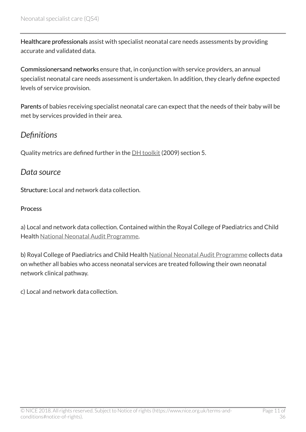Healthcare professionals assist with specialist neonatal care needs assessments by providing accurate and validated data.

Commissionersand networks ensure that, in conjunction with service providers, an annual specialist neonatal care needs assessment is undertaken. In addition, they clearly define expected levels of service provision.

Parents of babies receiving specialist neonatal care can expect that the needs of their baby will be met by services provided in their area.

### <span id="page-10-0"></span>*Definitions*

Quality metrics are defined further in the [DH toolkit](http://webarchive.nationalarchives.gov.uk/20130107105354/http:/www.dh.gov.uk/en/Publicationsandstatistics/Publications/PublicationsPolicyAndGuidance/DH_107845) (2009) section 5.

#### <span id="page-10-1"></span>*Data source*

Structure: Local and network data collection.

#### **Process**

a) Local and network data collection. Contained within the Royal College of Paediatrics and Child Health [National Neonatal Audit Programme](http://www.rcpch.ac.uk/improving-child-health/quality-improvement-and-clinical-audit/national-neonatal-audit-programme-nn-3).

b) Royal College of Paediatrics and Child Health [National Neonatal Audit Programme](http://www.rcpch.ac.uk/improving-child-health/quality-improvement-and-clinical-audit/national-neonatal-audit-programme-nn-3) collects data on whether all babies who access neonatal services are treated following their own neonatal network clinical pathway.

c) Local and network data collection.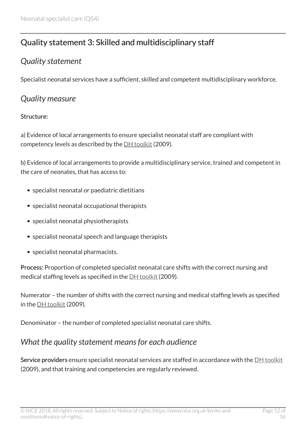# <span id="page-11-0"></span>Quality statement 3: Skilled and multidisciplinary staff

### <span id="page-11-1"></span>*Quality statement*

Specialist neonatal services have a sufficient, skilled and competent multidisciplinary workforce.

### <span id="page-11-2"></span>*Quality measure*

#### Structure:

a) Evidence of local arrangements to ensure specialist neonatal staff are compliant with competency levels as described by the  $DH$  toolkit (2009).

b) Evidence of local arrangements to provide a multidisciplinary service, trained and competent in the care of neonates, that has access to:

- specialist neonatal or paediatric dietitians
- specialist neonatal occupational therapists
- specialist neonatal physiotherapists
- specialist neonatal speech and language therapists
- specialist neonatal pharmacists.

Process: Proportion of completed specialist neonatal care shifts with the correct nursing and medical staffing levels as specified in the **DH** toolkit (2009).

Numerator – the number of shifts with the correct nursing and medical staffing levels as specified in the [DH toolkit](http://webarchive.nationalarchives.gov.uk/20130107105354/http:/www.dh.gov.uk/en/Publicationsandstatistics/Publications/PublicationsPolicyAndGuidance/DH_107845) (2009).

Denominator – the number of completed specialist neonatal care shifts.

# <span id="page-11-3"></span>*What the quality statement means for each audience*

Service providers ensure specialist neonatal services are staffed in accordance with the [DH toolkit](http://webarchive.nationalarchives.gov.uk/20130107105354/http:/www.dh.gov.uk/en/Publicationsandstatistics/Publications/PublicationsPolicyAndGuidance/DH_107845) (2009), and that training and competencies are regularly reviewed.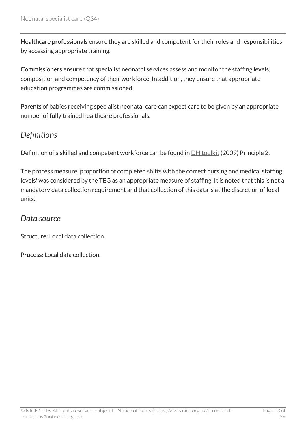Healthcare professionals ensure they are skilled and competent for their roles and responsibilities by accessing appropriate training.

Commissioners ensure that specialist neonatal services assess and monitor the staffing levels, composition and competency of their workforce. In addition, they ensure that appropriate education programmes are commissioned.

Parents of babies receiving specialist neonatal care can expect care to be given by an appropriate number of fully trained healthcare professionals.

## <span id="page-12-0"></span>*Definitions*

Definition of a skilled and competent workforce can be found in **DH** toolkit (2009) Principle 2.

The process measure 'proportion of completed shifts with the correct nursing and medical staffing levels' was considered by the TEG as an appropriate measure of staffing. It is noted that this is not a mandatory data collection requirement and that collection of this data is at the discretion of local units.

#### <span id="page-12-1"></span>*Data source*

Structure: Local data collection.

Process: Local data collection.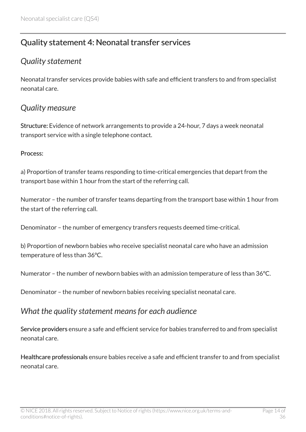# <span id="page-13-0"></span>Quality statement 4: Neonatal transfer services

### <span id="page-13-1"></span>*Quality statement*

Neonatal transfer services provide babies with safe and efficient transfers to and from specialist neonatal care.

#### <span id="page-13-2"></span>*Quality measure*

Structure: Evidence of network arrangements to provide a 24-hour, 7 days a week neonatal transport service with a single telephone contact.

#### Process:

a) Proportion of transfer teams responding to time-critical emergencies that depart from the transport base within 1 hour from the start of the referring call.

Numerator – the number of transfer teams departing from the transport base within 1 hour from the start of the referring call.

Denominator – the number of emergency transfers requests deemed time-critical.

b) Proportion of newborn babies who receive specialist neonatal care who have an admission temperature of less than 36°C.

Numerator – the number of newborn babies with an admission temperature of less than 36°C.

Denominator – the number of newborn babies receiving specialist neonatal care.

#### <span id="page-13-3"></span>*What the quality statement means for each audience*

Service providers ensure a safe and efficient service for babies transferred to and from specialist neonatal care.

Healthcare professionals ensure babies receive a safe and efficient transfer to and from specialist neonatal care.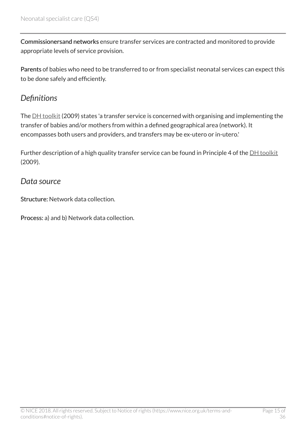Commissionersand networks ensure transfer services are contracted and monitored to provide appropriate levels of service provision.

Parents of babies who need to be transferred to or from specialist neonatal services can expect this to be done safely and efficiently.

### <span id="page-14-0"></span>*Definitions*

The [DH toolkit](http://webarchive.nationalarchives.gov.uk/20130107105354/http:/www.dh.gov.uk/en/Publicationsandstatistics/Publications/PublicationsPolicyAndGuidance/DH_107845) (2009) states 'a transfer service is concerned with organising and implementing the transfer of babies and/or mothers from within a defined geographical area (network). It encompasses both users and providers, and transfers may be ex-utero or in-utero.'

Further description of a high quality transfer service can be found in Principle 4 of the  $DH$  toolkit (2009).

#### <span id="page-14-1"></span>*Data source*

Structure: Network data collection.

Process: a) and b) Network data collection.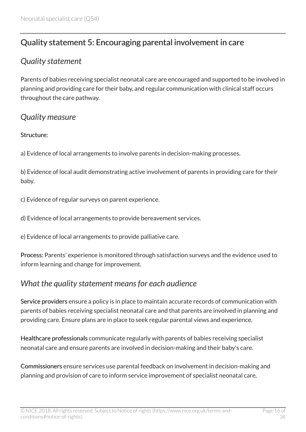# <span id="page-15-0"></span>Quality statement 5: Encouraging parental involvement in care

### <span id="page-15-1"></span>*Quality statement*

Parents of babies receiving specialist neonatal care are encouraged and supported to be involved in planning and providing care for their baby, and regular communication with clinical staff occurs throughout the care pathway.

#### <span id="page-15-2"></span>*Quality measure*

#### Structure:

a) Evidence of local arrangements to involve parents in decision-making processes.

b) Evidence of local audit demonstrating active involvement of parents in providing care for their baby.

c) Evidence of regular surveys on parent experience.

d) Evidence of local arrangements to provide bereavement services.

e) Evidence of local arrangements to provide palliative care.

Process: Parents' experience is monitored through satisfaction surveys and the evidence used to inform learning and change for improvement.

### <span id="page-15-3"></span>*What the quality statement means for each audience*

Service providers ensure a policy is in place to maintain accurate records of communication with parents of babies receiving specialist neonatal care and that parents are involved in planning and providing care. Ensure plans are in place to seek regular parental views and experience.

Healthcare professionals communicate regularly with parents of babies receiving specialist neonatal care and ensure parents are involved in decision-making and their baby's care.

Commissioners ensure services use parental feedback on involvement in decision-making and planning and provision of care to inform service improvement of specialist neonatal care.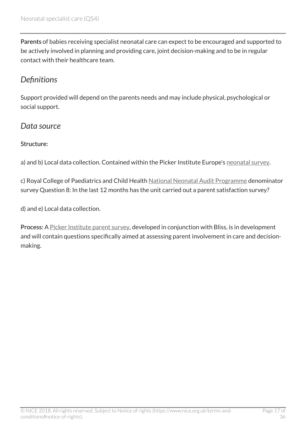Parents of babies receiving specialist neonatal care can expect to be encouraged and supported to be actively involved in planning and providing care, joint decision-making and to be in regular contact with their healthcare team.

# <span id="page-16-0"></span>*Definitions*

Support provided will depend on the parents needs and may include physical, psychological or social support.

#### <span id="page-16-1"></span>*Data source*

#### Structure:

a) and b) Local data collection. Contained within the Picker Institute Europe's [neonatal survey.](http://www.pickereurope.org/working-with-us/surveys/)

c) Royal College of Paediatrics and Child Health [National Neonatal Audit Programme](http://www.rcpch.ac.uk/improving-child-health/quality-improvement-and-clinical-audit/national-neonatal-audit-programme-nn-3) denominator survey Question 8: In the last 12 months has the unit carried out a parent satisfaction survey?

d) and e) Local data collection.

Process: A [Picker Institute parent survey,](http://www.bliss.org.uk/improving-care/making-change-happen/national-parents-survey/) developed in conjunction with Bliss, is in development and will contain questions specifically aimed at assessing parent involvement in care and decisionmaking.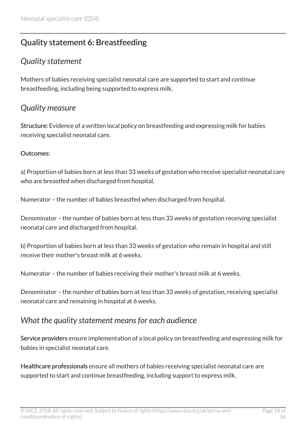# <span id="page-17-0"></span>Quality statement 6: Breastfeeding

### <span id="page-17-1"></span>*Quality statement*

Mothers of babies receiving specialist neonatal care are supported to start and continue breastfeeding, including being supported to express milk.

### <span id="page-17-2"></span>*Quality measure*

Structure: Evidence of a written local policy on breastfeeding and expressing milk for babies receiving specialist neonatal care.

#### Outcomes:

a) Proportion of babies born at less than 33 weeks of gestation who receive specialist neonatal care who are breastfed when discharged from hospital.

Numerator – the number of babies breastfed when discharged from hospital.

Denominator – the number of babies born at less than 33 weeks of gestation receiving specialist neonatal care and discharged from hospital.

b) Proportion of babies born at less than 33 weeks of gestation who remain in hospital and still receive their mother's breast milk at 6 weeks.

Numerator – the number of babies receiving their mother's breast milk at 6 weeks.

Denominator – the number of babies born at less than 33 weeks of gestation, receiving specialist neonatal care and remaining in hospital at 6 weeks.

#### <span id="page-17-3"></span>*What the quality statement means for each audience*

Service providers ensure implementation of a local policy on breastfeeding and expressing milk for babies in specialist neonatal care.

Healthcare professionals ensure all mothers of babies receiving specialist neonatal care are supported to start and continue breastfeeding, including support to express milk.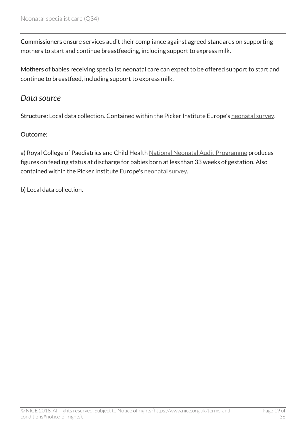Commissioners ensure services audit their compliance against agreed standards on supporting mothers to start and continue breastfeeding, including support to express milk.

Mothers of babies receiving specialist neonatal care can expect to be offered support to start and continue to breastfeed, including support to express milk.

#### <span id="page-18-0"></span>*Data source*

Structure: Local data collection. Contained within the Picker Institute Europe's [neonatal survey](http://www.pickereurope.org/working-with-us/surveys/).

#### Outcome:

a) Royal College of Paediatrics and Child Health [National Neonatal Audit Programme](http://www.rcpch.ac.uk/improving-child-health/quality-improvement-and-clinical-audit/national-neonatal-audit-programme-nn-3) produces figures on feeding status at discharge for babies born at less than 33 weeks of gestation. Also contained within the Picker Institute Europe's [neonatal survey.](http://www.pickereurope.org/working-with-us/surveys/)

b) Local data collection.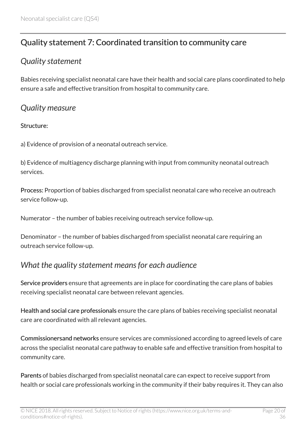# <span id="page-19-0"></span>Quality statement 7: Coordinated transition to community care

## <span id="page-19-1"></span>*Quality statement*

Babies receiving specialist neonatal care have their health and social care plans coordinated to help ensure a safe and effective transition from hospital to community care.

### <span id="page-19-2"></span>*Quality measure*

#### Structure:

a) Evidence of provision of a neonatal outreach service.

b) Evidence of multiagency discharge planning with input from community neonatal outreach services.

Process: Proportion of babies discharged from specialist neonatal care who receive an outreach service follow-up.

Numerator – the number of babies receiving outreach service follow-up.

Denominator – the number of babies discharged from specialist neonatal care requiring an outreach service follow-up.

# <span id="page-19-3"></span>*What the quality statement means for each audience*

Service providers ensure that agreements are in place for coordinating the care plans of babies receiving specialist neonatal care between relevant agencies.

Health and social care professionals ensure the care plans of babies receiving specialist neonatal care are coordinated with all relevant agencies.

Commissionersand networks ensure services are commissioned according to agreed levels of care across the specialist neonatal care pathway to enable safe and effective transition from hospital to community care.

Parents of babies discharged from specialist neonatal care can expect to receive support from health or social care professionals working in the community if their baby requires it. They can also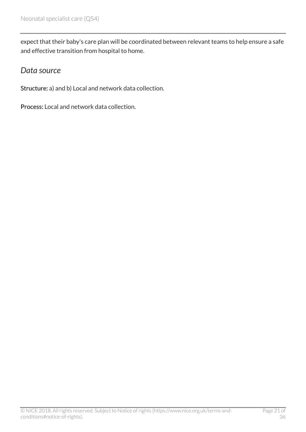expect that their baby's care plan will be coordinated between relevant teams to help ensure a safe and effective transition from hospital to home.

#### <span id="page-20-0"></span>*Data source*

Structure: a) and b) Local and network data collection.

Process: Local and network data collection.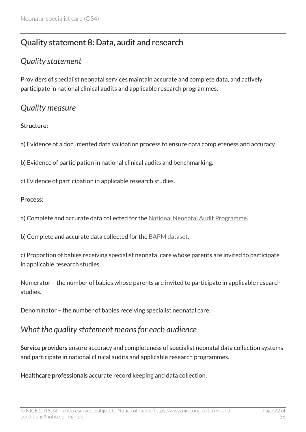# <span id="page-21-0"></span>Quality statement 8: Data, audit and research

#### <span id="page-21-1"></span>*Quality statement*

Providers of specialist neonatal services maintain accurate and complete data, and actively participate in national clinical audits and applicable research programmes.

#### <span id="page-21-2"></span>*Quality measure*

#### Structure:

a) Evidence of a documented data validation process to ensure data completeness and accuracy.

b) Evidence of participation in national clinical audits and benchmarking.

c) Evidence of participation in applicable research studies.

#### Process:

a) Complete and accurate data collected for the [National Neonatal Audit Programme](http://www.rcpch.ac.uk/improving-child-health/quality-improvement-and-clinical-audit/national-neonatal-audit-programme-nn-3).

b) Complete and accurate data collected for the **BAPM** dataset.

c) Proportion of babies receiving specialist neonatal care whose parents are invited to participate in applicable research studies.

Numerator – the number of babies whose parents are invited to participate in applicable research studies.

Denominator – the number of babies receiving specialist neonatal care.

#### <span id="page-21-3"></span>*What the quality statement means for each audience*

Service providers ensure accuracy and completeness of specialist neonatal data collection systems and participate in national clinical audits and applicable research programmes.

Healthcare professionals accurate record keeping and data collection.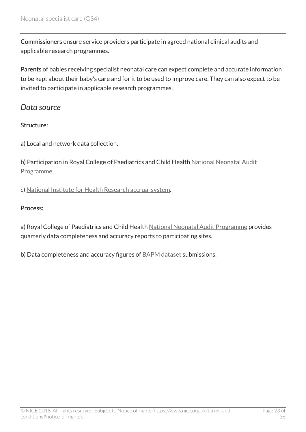Commissioners ensure service providers participate in agreed national clinical audits and applicable research programmes.

Parents of babies receiving specialist neonatal care can expect complete and accurate information to be kept about their baby's care and for it to be used to improve care. They can also expect to be invited to participate in applicable research programmes.

#### <span id="page-22-0"></span>*Data source*

#### Structure:

a) Local and network data collection.

b) Participation in Royal College of Paediatrics and Child Health [National Neonatal Audit](http://www.rcpch.ac.uk/improving-child-health/quality-improvement-and-clinical-audit/national-neonatal-audit-programme-nn-3) [Programme.](http://www.rcpch.ac.uk/improving-child-health/quality-improvement-and-clinical-audit/national-neonatal-audit-programme-nn-3)

c) [National Institute for Health Research accrual system.](http://www.nihr.ac.uk/)

#### Process:

a) Royal College of Paediatrics and Child Health [National Neonatal Audit Programme](http://www.rcpch.ac.uk/improving-child-health/quality-improvement-and-clinical-audit/national-neonatal-audit-programme-nn-3) provides quarterly data completeness and accuracy reports to participating sites.

b) Data completeness and accuracy figures of **BAPM** dataset submissions.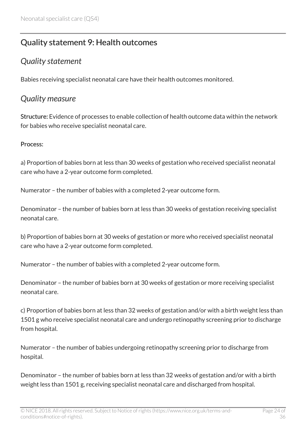# <span id="page-23-0"></span>Quality statement 9: Health outcomes

### <span id="page-23-1"></span>*Quality statement*

Babies receiving specialist neonatal care have their health outcomes monitored.

### <span id="page-23-2"></span>*Quality measure*

Structure: Evidence of processes to enable collection of health outcome data within the network for babies who receive specialist neonatal care.

#### Process:

a) Proportion of babies born at less than 30 weeks of gestation who received specialist neonatal care who have a 2-year outcome form completed.

Numerator – the number of babies with a completed 2-year outcome form.

Denominator – the number of babies born at less than 30 weeks of gestation receiving specialist neonatal care.

b) Proportion of babies born at 30 weeks of gestation or more who received specialist neonatal care who have a 2-year outcome form completed.

Numerator – the number of babies with a completed 2-year outcome form.

Denominator – the number of babies born at 30 weeks of gestation or more receiving specialist neonatal care.

c) Proportion of babies born at less than 32 weeks of gestation and/or with a birth weight less than 1501 g who receive specialist neonatal care and undergo retinopathy screening prior to discharge from hospital.

Numerator – the number of babies undergoing retinopathy screening prior to discharge from hospital.

Denominator – the number of babies born at less than 32 weeks of gestation and/or with a birth weight less than 1501 g, receiving specialist neonatal care and discharged from hospital.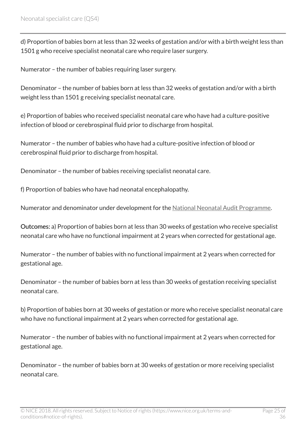d) Proportion of babies born at less than 32 weeks of gestation and/or with a birth weight less than 1501 g who receive specialist neonatal care who require laser surgery.

Numerator – the number of babies requiring laser surgery.

Denominator – the number of babies born at less than 32 weeks of gestation and/or with a birth weight less than 1501 g receiving specialist neonatal care.

e) Proportion of babies who received specialist neonatal care who have had a culture-positive infection of blood or cerebrospinal fluid prior to discharge from hospital.

Numerator – the number of babies who have had a culture-positive infection of blood or cerebrospinal fluid prior to discharge from hospital.

Denominator – the number of babies receiving specialist neonatal care.

f) Proportion of babies who have had neonatal encephalopathy.

Numerator and denominator under development for the [National Neonatal Audit Programme](http://www.rcpch.ac.uk/improving-child-health/quality-improvement-and-clinical-audit/national-neonatal-audit-programme-nn-3).

Outcomes: a) Proportion of babies born at less than 30 weeks of gestation who receive specialist neonatal care who have no functional impairment at 2 years when corrected for gestational age.

Numerator – the number of babies with no functional impairment at 2 years when corrected for gestational age.

Denominator – the number of babies born at less than 30 weeks of gestation receiving specialist neonatal care.

b) Proportion of babies born at 30 weeks of gestation or more who receive specialist neonatal care who have no functional impairment at 2 years when corrected for gestational age.

Numerator – the number of babies with no functional impairment at 2 years when corrected for gestational age.

Denominator – the number of babies born at 30 weeks of gestation or more receiving specialist neonatal care.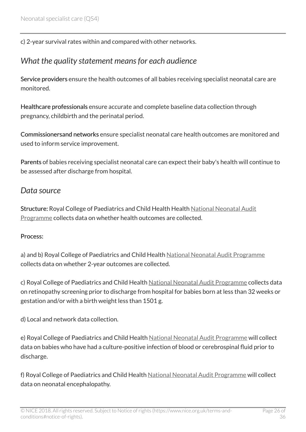c) 2-year survival rates within and compared with other networks.

### <span id="page-25-0"></span>*What the quality statement means for each audience*

Service providers ensure the health outcomes of all babies receiving specialist neonatal care are monitored.

Healthcare professionals ensure accurate and complete baseline data collection through pregnancy, childbirth and the perinatal period.

Commissionersand networks ensure specialist neonatal care health outcomes are monitored and used to inform service improvement.

Parents of babies receiving specialist neonatal care can expect their baby's health will continue to be assessed after discharge from hospital.

#### <span id="page-25-1"></span>*Data source*

Structure: Royal College of Paediatrics and Child Health Health [National Neonatal Audit](http://www.rcpch.ac.uk/improving-child-health/quality-improvement-and-clinical-audit/national-neonatal-audit-programme-nn-3) [Programme](http://www.rcpch.ac.uk/improving-child-health/quality-improvement-and-clinical-audit/national-neonatal-audit-programme-nn-3) collects data on whether health outcomes are collected.

#### Process:

a) and b) Royal College of Paediatrics and Child Health [National Neonatal Audit Programme](http://www.rcpch.ac.uk/improving-child-health/quality-improvement-and-clinical-audit/national-neonatal-audit-programme-nn-3) collects data on whether 2-year outcomes are collected.

c) Royal College of Paediatrics and Child Health [National Neonatal Audit Programme](http://www.rcpch.ac.uk/improving-child-health/quality-improvement-and-clinical-audit/national-neonatal-audit-programme-nn-3) collects data on retinopathy screening prior to discharge from hospital for babies born at less than 32 weeks or gestation and/or with a birth weight less than 1501 g.

d) Local and network data collection.

e) Royal College of Paediatrics and Child Health [National Neonatal Audit Programme](http://www.rcpch.ac.uk/improving-child-health/quality-improvement-and-clinical-audit/national-neonatal-audit-programme-nn-3) will collect data on babies who have had a culture-positive infection of blood or cerebrospinal fluid prior to discharge.

f) Royal College of Paediatrics and Child Health [National Neonatal Audit Programme](http://www.rcpch.ac.uk/improving-child-health/quality-improvement-and-clinical-audit/national-neonatal-audit-programme-nn-3) will collect data on neonatal encephalopathy.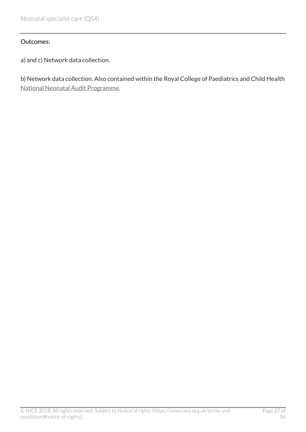#### Outcomes:

a) and c) Network data collection.

b) Network data collection. Also contained within the Royal College of Paediatrics and Child Health [National Neonatal Audit Programme](http://www.rcpch.ac.uk/improving-child-health/quality-improvement-and-clinical-audit/national-neonatal-audit-programme-nn-3).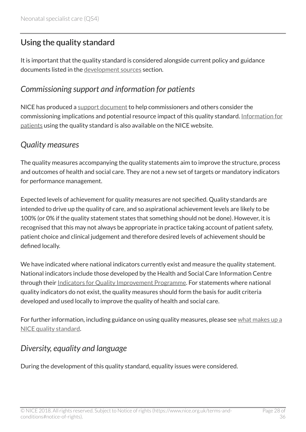## <span id="page-27-0"></span>Using the quality standard

It is important that the quality standard is considered alongside current policy and guidance documents listed in the [development sources](http://www.nice.org.uk/guidance/qs4/chapter/development-sources) section.

### <span id="page-27-1"></span>*Commissioning support and information for patients*

NICE has produced a [support document](http://www.nice.org.uk/guidance/qs4/Resources) to help commissioners and others consider the commissioning implications and potential resource impact of this quality standard. [Information for](http://www.nice.org.uk/guidance/qs4/Informationforpublic) [patients](http://www.nice.org.uk/guidance/qs4/Informationforpublic) using the quality standard is also available on the NICE website.

#### <span id="page-27-2"></span>*Quality measures*

The quality measures accompanying the quality statements aim to improve the structure, process and outcomes of health and social care. They are not a new set of targets or mandatory indicators for performance management.

Expected levels of achievement for quality measures are not specified. Quality standards are intended to drive up the quality of care, and so aspirational achievement levels are likely to be 100% (or 0% if the quality statement states that something should not be done). However, it is recognised that this may not always be appropriate in practice taking account of patient safety, patient choice and clinical judgement and therefore desired levels of achievement should be defined locally.

We have indicated where national indicators currently exist and measure the quality statement. National indicators include those developed by the Health and Social Care Information Centre through their [Indicators for Quality Improvement Programme.](http://www.hscic.gov.uk/iqi) For statements where national quality indicators do not exist, the quality measures should form the basis for audit criteria developed and used locally to improve the quality of health and social care.

For further information, including guidance on using quality measures, please see [what makes up a](http://www.nice.org.uk/standards-and-indicators/developing-nice-quality-standards) [NICE quality standard.](http://www.nice.org.uk/standards-and-indicators/developing-nice-quality-standards)

## <span id="page-27-3"></span>*Diversity, equality and language*

During the development of this quality standard, equality issues were considered.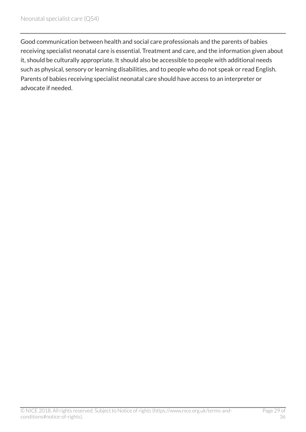Good communication between health and social care professionals and the parents of babies receiving specialist neonatal care is essential. Treatment and care, and the information given about it, should be culturally appropriate. It should also be accessible to people with additional needs such as physical, sensory or learning disabilities, and to people who do not speak or read English. Parents of babies receiving specialist neonatal care should have access to an interpreter or advocate if needed.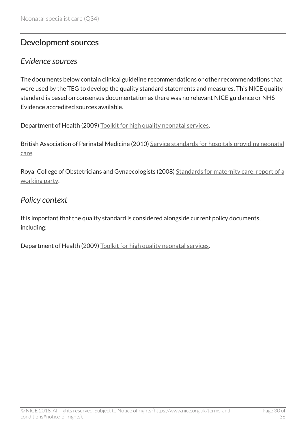## <span id="page-29-0"></span>Development sources

#### <span id="page-29-1"></span>*Evidence sources*

The documents below contain clinical guideline recommendations or other recommendations that were used by the TEG to develop the quality standard statements and measures. This NICE quality standard is based on consensus documentation as there was no relevant NICE guidance or NHS Evidence accredited sources available.

Department of Health (2009) [Toolkit for high quality neonatal services.](http://webarchive.nationalarchives.gov.uk/20130107105354/http:/www.dh.gov.uk/en/Publicationsandstatistics/Publications/PublicationsPolicyAndGuidance/DH_107845)

British Association of Perinatal Medicine (2010) [Service standards for hospitals providing neonatal](http://www.bapm.org/publications/documents/guidelines/BAPM_Standards_Final_Aug2010.pdf) [care.](http://www.bapm.org/publications/documents/guidelines/BAPM_Standards_Final_Aug2010.pdf)

Royal College of Obstetricians and Gynaecologists (2008) [Standards for maternity care: report of a](http://www.rcog.org.uk/globalassets/documents/guidelines/wprmaternitystandards2008.pdf) [working party](http://www.rcog.org.uk/globalassets/documents/guidelines/wprmaternitystandards2008.pdf).

### <span id="page-29-2"></span>*Policy context*

It is important that the quality standard is considered alongside current policy documents, including:

Department of Health (2009) [Toolkit for high quality neonatal services.](http://webarchive.nationalarchives.gov.uk/20130107105354/http:/www.dh.gov.uk/en/Publicationsandstatistics/Publications/PublicationsPolicyAndGuidance/DH_107845)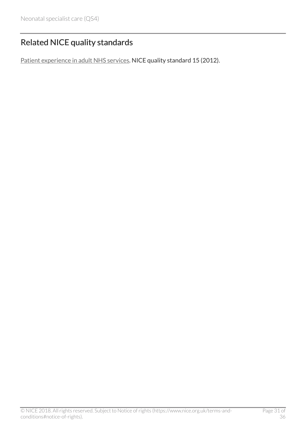# <span id="page-30-0"></span>Related NICE quality standards

[Patient experience in adult NHS services](http://www.nice.org.uk/guidance/qs15). NICE quality standard 15 (2012).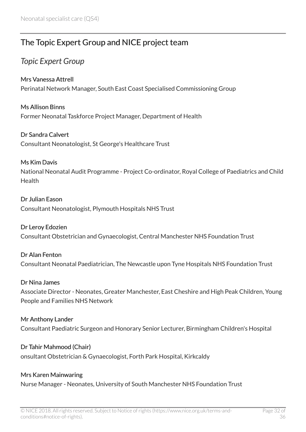# <span id="page-31-0"></span>The Topic Expert Group and NICE project team

## <span id="page-31-1"></span>*Topic Expert Group*

#### Mrs Vanessa Attrell

Perinatal Network Manager, South East Coast Specialised Commissioning Group

Ms Allison Binns Former Neonatal Taskforce Project Manager, Department of Health

#### Dr Sandra Calvert

Consultant Neonatologist, St George's Healthcare Trust

#### Ms Kim Davis

National Neonatal Audit Programme - Project Co-ordinator, Royal College of Paediatrics and Child Health

#### Dr Julian Eason

Consultant Neonatologist, Plymouth Hospitals NHS Trust

#### Dr Leroy Edozien

Consultant Obstetrician and Gynaecologist, Central Manchester NHS Foundation Trust

#### Dr Alan Fenton

Consultant Neonatal Paediatrician, The Newcastle upon Tyne Hospitals NHS Foundation Trust

#### Dr Nina James

Associate Director - Neonates, Greater Manchester, East Cheshire and High Peak Children, Young People and Families NHS Network

#### Mr Anthony Lander

Consultant Paediatric Surgeon and Honorary Senior Lecturer, Birmingham Children's Hospital

#### Dr Tahir Mahmood (Chair)

onsultant Obstetrician & Gynaecologist, Forth Park Hospital, Kirkcaldy

#### Mrs Karen Mainwaring

Nurse Manager - Neonates, University of South Manchester NHS Foundation Trust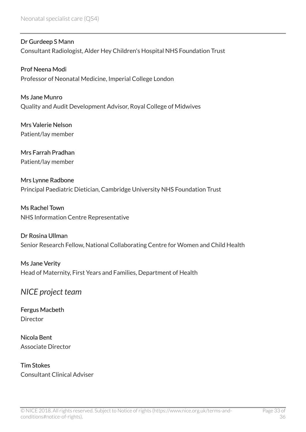Dr Gurdeep S Mann Consultant Radiologist, Alder Hey Children's Hospital NHS Foundation Trust

Prof Neena Modi Professor of Neonatal Medicine, Imperial College London

Ms Jane Munro Quality and Audit Development Advisor, Royal College of Midwives

Mrs Valerie Nelson Patient/lay member

Mrs Farrah Pradhan Patient/lay member

Mrs Lynne Radbone Principal Paediatric Dietician, Cambridge University NHS Foundation Trust

Ms Rachel Town NHS Information Centre Representative

Dr Rosina Ullman Senior Research Fellow, National Collaborating Centre for Women and Child Health

Ms Jane Verity Head of Maternity, First Years and Families, Department of Health

### <span id="page-32-0"></span>*NICE project team*

Fergus Macbeth Director

Nicola Bent Associate Director

Tim Stokes Consultant Clinical Adviser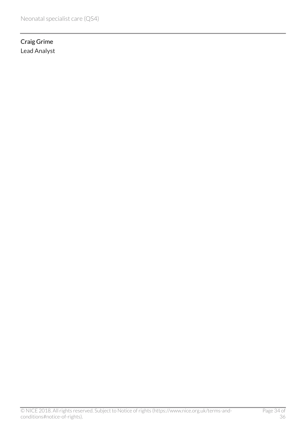Craig Grime Lead Analyst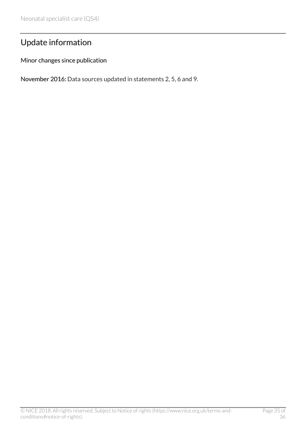# <span id="page-34-0"></span>Update information

Minor changes since publication

November 2016: Data sources updated in statements 2, 5, 6 and 9.